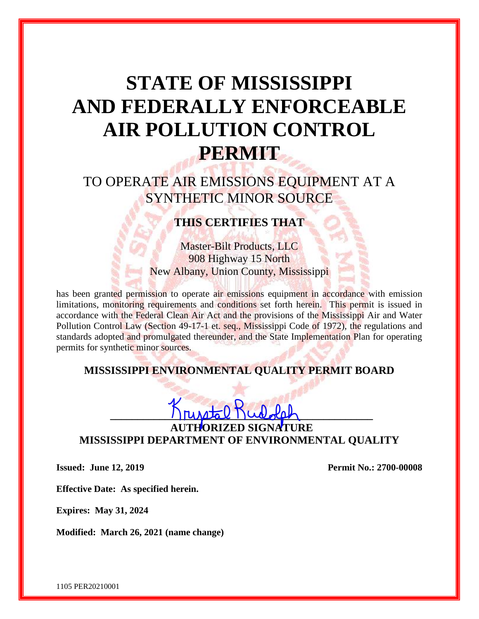# **STATE OF MISSISSIPPI AND FEDERALLY ENFORCEABLE AIR POLLUTION CONTROL PERMIT**

## TO OPERATE AIR EMISSIONS EQUIPMENT AT A SYNTHETIC MINOR SOURCE

## **THIS CERTIFIES THAT**

Master-Bilt Products, LLC 908 Highway 15 North New Albany, Union County, Mississippi

has been granted permission to operate air emissions equipment in accordance with emission limitations, monitoring requirements and conditions set forth herein. This permit is issued in accordance with the Federal Clean Air Act and the provisions of the Mississippi Air and Water Pollution Control Law (Section 49-17-1 et. seq., Mississippi Code of 1972), the regulations and standards adopted and promulgated thereunder, and the State Implementation Plan for operating permits for synthetic minor sources.

### **MISSISSIPPI ENVIRONMENTAL QUALITY PERMIT BOARD**

## **\_\_\_\_\_\_\_\_\_\_\_\_\_\_\_\_\_\_\_\_\_\_\_\_\_\_\_\_\_\_\_\_\_\_\_\_\_\_\_\_\_\_\_\_\_\_\_\_ AORIZED SIGNATURE MISSISSIPPI DEPARTMENT OF ENVIRONMENTAL QUALITY**

**Issued: June 12, 2019 Permit No.: 2700-00008**

**Effective Date: As specified herein.**

**Expires: May 31, 2024**

**Modified: March 26, 2021 (name change)**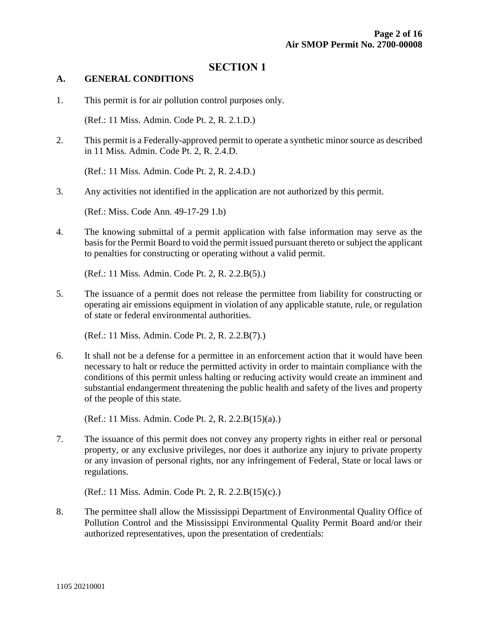#### **SECTION 1**

#### **A. GENERAL CONDITIONS**

1. This permit is for air pollution control purposes only.

(Ref.: 11 Miss. Admin. Code Pt. 2, R. 2.1.D.)

2. This permit is a Federally-approved permit to operate a synthetic minor source as described in 11 Miss. Admin. Code Pt. 2, R. 2.4.D.

(Ref.: 11 Miss. Admin. Code Pt. 2, R. 2.4.D.)

3. Any activities not identified in the application are not authorized by this permit.

(Ref.: Miss. Code Ann. 49-17-29 1.b)

4. The knowing submittal of a permit application with false information may serve as the basis for the Permit Board to void the permit issued pursuant thereto or subject the applicant to penalties for constructing or operating without a valid permit.

(Ref.: 11 Miss. Admin. Code Pt. 2, R. 2.2.B(5).)

5. The issuance of a permit does not release the permittee from liability for constructing or operating air emissions equipment in violation of any applicable statute, rule, or regulation of state or federal environmental authorities.

(Ref.: 11 Miss. Admin. Code Pt. 2, R. 2.2.B(7).)

6. It shall not be a defense for a permittee in an enforcement action that it would have been necessary to halt or reduce the permitted activity in order to maintain compliance with the conditions of this permit unless halting or reducing activity would create an imminent and substantial endangerment threatening the public health and safety of the lives and property of the people of this state.

(Ref.: 11 Miss. Admin. Code Pt. 2, R. 2.2.B(15)(a).)

7. The issuance of this permit does not convey any property rights in either real or personal property, or any exclusive privileges, nor does it authorize any injury to private property or any invasion of personal rights, nor any infringement of Federal, State or local laws or regulations.

(Ref.: 11 Miss. Admin. Code Pt. 2, R. 2.2.B(15)(c).)

8. The permittee shall allow the Mississippi Department of Environmental Quality Office of Pollution Control and the Mississippi Environmental Quality Permit Board and/or their authorized representatives, upon the presentation of credentials: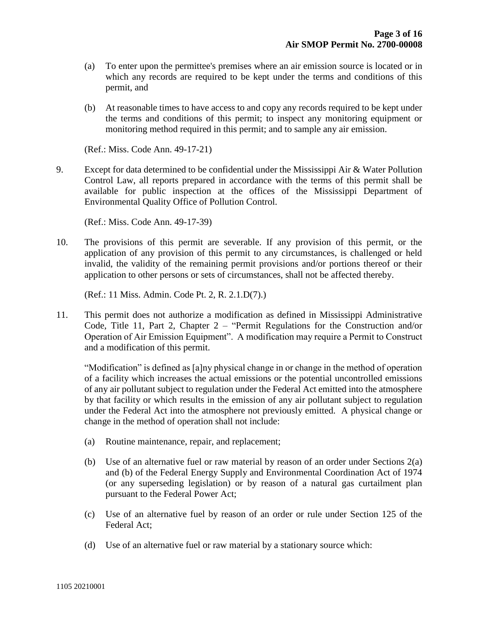- (a) To enter upon the permittee's premises where an air emission source is located or in which any records are required to be kept under the terms and conditions of this permit, and
- (b) At reasonable times to have access to and copy any records required to be kept under the terms and conditions of this permit; to inspect any monitoring equipment or monitoring method required in this permit; and to sample any air emission.

(Ref.: Miss. Code Ann. 49-17-21)

9. Except for data determined to be confidential under the Mississippi Air  $\&$  Water Pollution Control Law, all reports prepared in accordance with the terms of this permit shall be available for public inspection at the offices of the Mississippi Department of Environmental Quality Office of Pollution Control.

(Ref.: Miss. Code Ann. 49-17-39)

10. The provisions of this permit are severable. If any provision of this permit, or the application of any provision of this permit to any circumstances, is challenged or held invalid, the validity of the remaining permit provisions and/or portions thereof or their application to other persons or sets of circumstances, shall not be affected thereby.

(Ref.: 11 Miss. Admin. Code Pt. 2, R. 2.1.D(7).)

11. This permit does not authorize a modification as defined in Mississippi Administrative Code, Title 11, Part 2, Chapter 2 – "Permit Regulations for the Construction and/or Operation of Air Emission Equipment". A modification may require a Permit to Construct and a modification of this permit.

"Modification" is defined as [a]ny physical change in or change in the method of operation of a facility which increases the actual emissions or the potential uncontrolled emissions of any air pollutant subject to regulation under the Federal Act emitted into the atmosphere by that facility or which results in the emission of any air pollutant subject to regulation under the Federal Act into the atmosphere not previously emitted. A physical change or change in the method of operation shall not include:

- (a) Routine maintenance, repair, and replacement;
- (b) Use of an alternative fuel or raw material by reason of an order under Sections 2(a) and (b) of the Federal Energy Supply and Environmental Coordination Act of 1974 (or any superseding legislation) or by reason of a natural gas curtailment plan pursuant to the Federal Power Act;
- (c) Use of an alternative fuel by reason of an order or rule under Section 125 of the Federal Act;
- (d) Use of an alternative fuel or raw material by a stationary source which: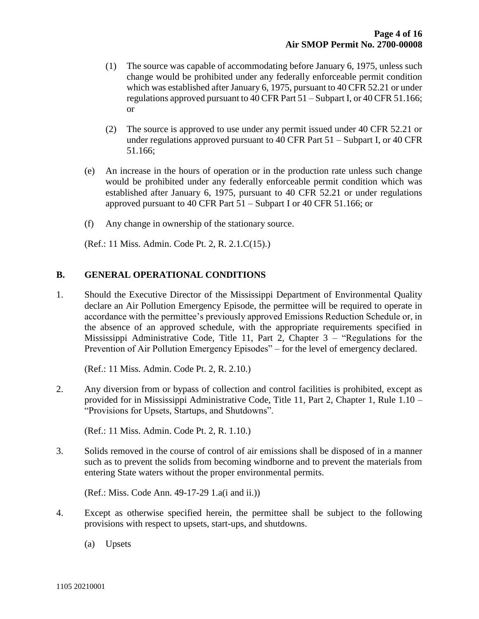- (1) The source was capable of accommodating before January 6, 1975, unless such change would be prohibited under any federally enforceable permit condition which was established after January 6, 1975, pursuant to 40 CFR 52.21 or under regulations approved pursuant to 40 CFR Part 51 – Subpart I, or 40 CFR 51.166; or
- (2) The source is approved to use under any permit issued under 40 CFR 52.21 or under regulations approved pursuant to 40 CFR Part 51 – Subpart I, or 40 CFR 51.166;
- (e) An increase in the hours of operation or in the production rate unless such change would be prohibited under any federally enforceable permit condition which was established after January 6, 1975, pursuant to 40 CFR 52.21 or under regulations approved pursuant to 40 CFR Part 51 – Subpart I or 40 CFR 51.166; or
- (f) Any change in ownership of the stationary source.

(Ref.: 11 Miss. Admin. Code Pt. 2, R. 2.1.C(15).)

#### **B. GENERAL OPERATIONAL CONDITIONS**

1. Should the Executive Director of the Mississippi Department of Environmental Quality declare an Air Pollution Emergency Episode, the permittee will be required to operate in accordance with the permittee's previously approved Emissions Reduction Schedule or, in the absence of an approved schedule, with the appropriate requirements specified in Mississippi Administrative Code, Title 11, Part 2, Chapter 3 – "Regulations for the Prevention of Air Pollution Emergency Episodes" – for the level of emergency declared.

(Ref.: 11 Miss. Admin. Code Pt. 2, R. 2.10.)

2. Any diversion from or bypass of collection and control facilities is prohibited, except as provided for in Mississippi Administrative Code, Title 11, Part 2, Chapter 1, Rule 1.10 – "Provisions for Upsets, Startups, and Shutdowns".

(Ref.: 11 Miss. Admin. Code Pt. 2, R. 1.10.)

3. Solids removed in the course of control of air emissions shall be disposed of in a manner such as to prevent the solids from becoming windborne and to prevent the materials from entering State waters without the proper environmental permits.

(Ref.: Miss. Code Ann. 49-17-29 1.a(i and ii.))

- 4. Except as otherwise specified herein, the permittee shall be subject to the following provisions with respect to upsets, start-ups, and shutdowns.
	- (a) Upsets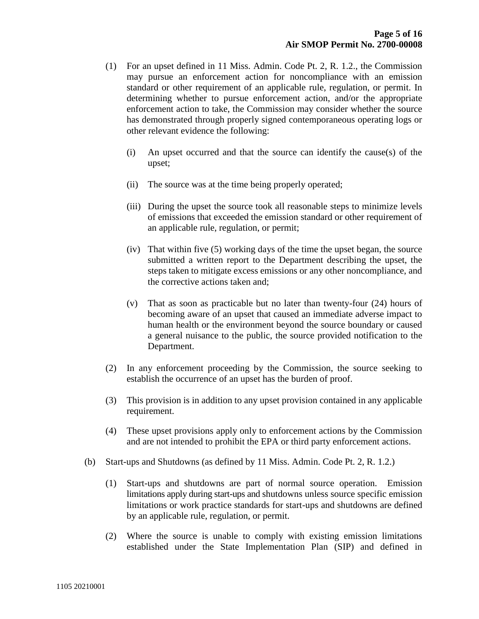- (1) For an upset defined in 11 Miss. Admin. Code Pt. 2, R. 1.2., the Commission may pursue an enforcement action for noncompliance with an emission standard or other requirement of an applicable rule, regulation, or permit. In determining whether to pursue enforcement action, and/or the appropriate enforcement action to take, the Commission may consider whether the source has demonstrated through properly signed contemporaneous operating logs or other relevant evidence the following:
	- (i) An upset occurred and that the source can identify the cause(s) of the upset;
	- (ii) The source was at the time being properly operated;
	- (iii) During the upset the source took all reasonable steps to minimize levels of emissions that exceeded the emission standard or other requirement of an applicable rule, regulation, or permit;
	- (iv) That within five (5) working days of the time the upset began, the source submitted a written report to the Department describing the upset, the steps taken to mitigate excess emissions or any other noncompliance, and the corrective actions taken and;
	- (v) That as soon as practicable but no later than twenty-four (24) hours of becoming aware of an upset that caused an immediate adverse impact to human health or the environment beyond the source boundary or caused a general nuisance to the public, the source provided notification to the Department.
- (2) In any enforcement proceeding by the Commission, the source seeking to establish the occurrence of an upset has the burden of proof.
- (3) This provision is in addition to any upset provision contained in any applicable requirement.
- (4) These upset provisions apply only to enforcement actions by the Commission and are not intended to prohibit the EPA or third party enforcement actions.
- (b) Start-ups and Shutdowns (as defined by 11 Miss. Admin. Code Pt. 2, R. 1.2.)
	- (1) Start-ups and shutdowns are part of normal source operation. Emission limitations apply during start-ups and shutdowns unless source specific emission limitations or work practice standards for start-ups and shutdowns are defined by an applicable rule, regulation, or permit.
	- (2) Where the source is unable to comply with existing emission limitations established under the State Implementation Plan (SIP) and defined in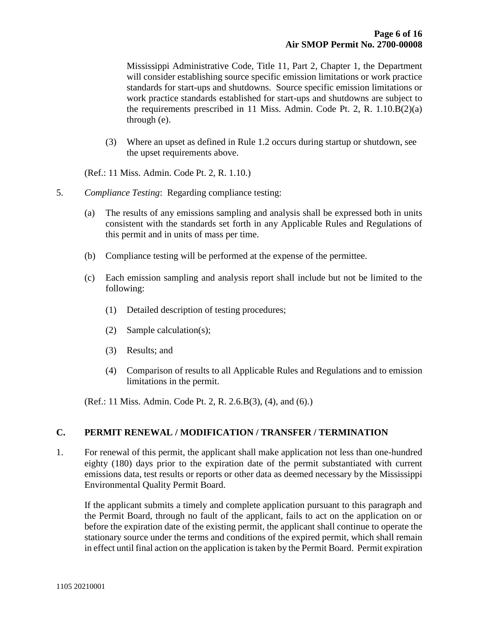Mississippi Administrative Code, Title 11, Part 2, Chapter 1, the Department will consider establishing source specific emission limitations or work practice standards for start-ups and shutdowns. Source specific emission limitations or work practice standards established for start-ups and shutdowns are subject to the requirements prescribed in 11 Miss. Admin. Code Pt. 2, R. 1.10.B(2)(a) through (e).

(3) Where an upset as defined in Rule 1.2 occurs during startup or shutdown, see the upset requirements above.

(Ref.: 11 Miss. Admin. Code Pt. 2, R. 1.10.)

- 5. *Compliance Testing*: Regarding compliance testing:
	- (a) The results of any emissions sampling and analysis shall be expressed both in units consistent with the standards set forth in any Applicable Rules and Regulations of this permit and in units of mass per time.
	- (b) Compliance testing will be performed at the expense of the permittee.
	- (c) Each emission sampling and analysis report shall include but not be limited to the following:
		- (1) Detailed description of testing procedures;
		- (2) Sample calculation(s);
		- (3) Results; and
		- (4) Comparison of results to all Applicable Rules and Regulations and to emission limitations in the permit.

(Ref.: 11 Miss. Admin. Code Pt. 2, R. 2.6.B(3), (4), and (6).)

#### **C. PERMIT RENEWAL / MODIFICATION / TRANSFER / TERMINATION**

1. For renewal of this permit, the applicant shall make application not less than one-hundred eighty (180) days prior to the expiration date of the permit substantiated with current emissions data, test results or reports or other data as deemed necessary by the Mississippi Environmental Quality Permit Board.

If the applicant submits a timely and complete application pursuant to this paragraph and the Permit Board, through no fault of the applicant, fails to act on the application on or before the expiration date of the existing permit, the applicant shall continue to operate the stationary source under the terms and conditions of the expired permit, which shall remain in effect until final action on the application is taken by the Permit Board. Permit expiration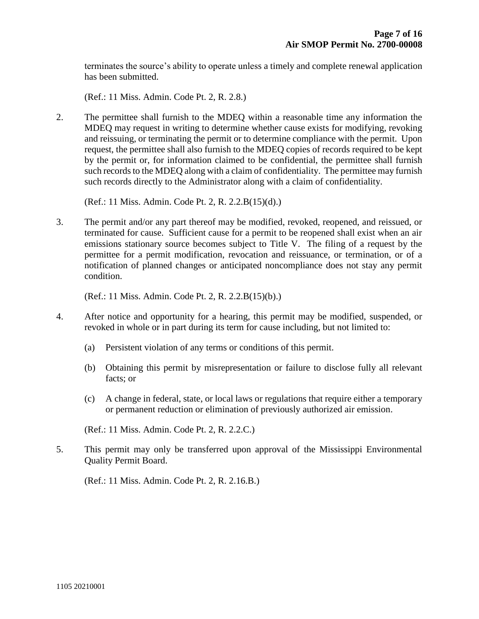terminates the source's ability to operate unless a timely and complete renewal application has been submitted.

(Ref.: 11 Miss. Admin. Code Pt. 2, R. 2.8.)

2. The permittee shall furnish to the MDEQ within a reasonable time any information the MDEQ may request in writing to determine whether cause exists for modifying, revoking and reissuing, or terminating the permit or to determine compliance with the permit. Upon request, the permittee shall also furnish to the MDEQ copies of records required to be kept by the permit or, for information claimed to be confidential, the permittee shall furnish such records to the MDEQ along with a claim of confidentiality. The permittee may furnish such records directly to the Administrator along with a claim of confidentiality.

(Ref.: 11 Miss. Admin. Code Pt. 2, R. 2.2.B(15)(d).)

3. The permit and/or any part thereof may be modified, revoked, reopened, and reissued, or terminated for cause. Sufficient cause for a permit to be reopened shall exist when an air emissions stationary source becomes subject to Title V. The filing of a request by the permittee for a permit modification, revocation and reissuance, or termination, or of a notification of planned changes or anticipated noncompliance does not stay any permit condition.

(Ref.: 11 Miss. Admin. Code Pt. 2, R. 2.2.B(15)(b).)

- 4. After notice and opportunity for a hearing, this permit may be modified, suspended, or revoked in whole or in part during its term for cause including, but not limited to:
	- (a) Persistent violation of any terms or conditions of this permit.
	- (b) Obtaining this permit by misrepresentation or failure to disclose fully all relevant facts; or
	- (c) A change in federal, state, or local laws or regulations that require either a temporary or permanent reduction or elimination of previously authorized air emission.

(Ref.: 11 Miss. Admin. Code Pt. 2, R. 2.2.C.)

5. This permit may only be transferred upon approval of the Mississippi Environmental Quality Permit Board.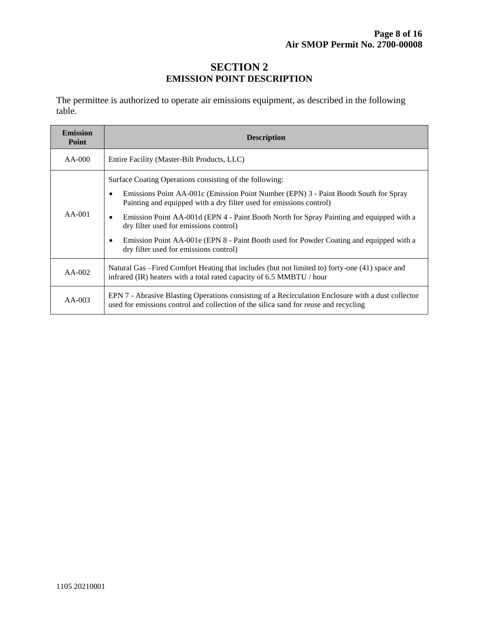#### **SECTION 2 EMISSION POINT DESCRIPTION**

The permittee is authorized to operate air emissions equipment, as described in the following table.

| <b>Emission</b><br>Point | <b>Description</b>                                                                                                                                                                                                                                                                                                                                                                                                                                                                                             |  |  |
|--------------------------|----------------------------------------------------------------------------------------------------------------------------------------------------------------------------------------------------------------------------------------------------------------------------------------------------------------------------------------------------------------------------------------------------------------------------------------------------------------------------------------------------------------|--|--|
| $AA-000$                 | Entire Facility (Master-Bilt Products, LLC)                                                                                                                                                                                                                                                                                                                                                                                                                                                                    |  |  |
| $AA-001$                 | Surface Coating Operations consisting of the following:<br>Emissions Point AA-001c (Emission Point Number (EPN) 3 - Paint Booth South for Spray<br>Painting and equipped with a dry filter used for emissions control)<br>Emission Point AA-001d (EPN 4 - Paint Booth North for Spray Painting and equipped with a<br>$\bullet$<br>dry filter used for emissions control)<br>Emission Point AA-001e (EPN 8 - Paint Booth used for Powder Coating and equipped with a<br>dry filter used for emissions control) |  |  |
| $AA-002$                 | Natural Gas – Fired Comfort Heating that includes (but not limited to) forty-one (41) space and<br>infrared (IR) heaters with a total rated capacity of 6.5 MMBTU / hour                                                                                                                                                                                                                                                                                                                                       |  |  |
| $AA-003$                 | EPN 7 - Abrasive Blasting Operations consisting of a Recirculation Enclosure with a dust collector<br>used for emissions control and collection of the silica sand for reuse and recycling                                                                                                                                                                                                                                                                                                                     |  |  |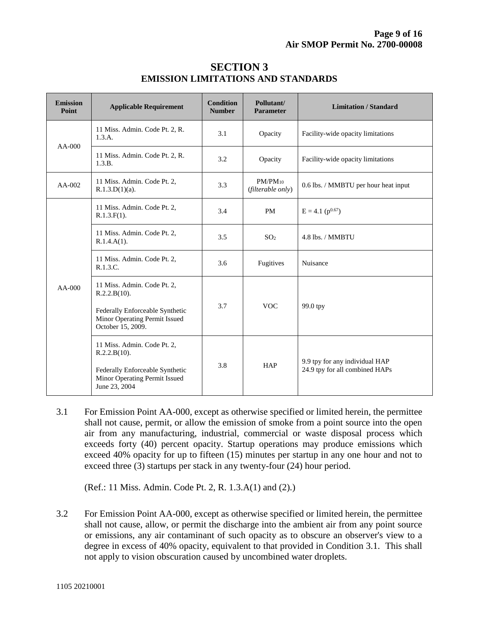| <b>Emission</b><br>Point | <b>Applicable Requirement</b>                                                                                                        | Condition<br><b>Number</b> | Pollutant/<br><b>Parameter</b>    | <b>Limitation / Standard</b>                                     |
|--------------------------|--------------------------------------------------------------------------------------------------------------------------------------|----------------------------|-----------------------------------|------------------------------------------------------------------|
| $AA-000$                 | 11 Miss. Admin. Code Pt. 2, R.<br>1.3.A.                                                                                             | 3.1                        | Opacity                           | Facility-wide opacity limitations                                |
|                          | 11 Miss. Admin. Code Pt. 2, R.<br>1.3.B.                                                                                             | 3.2                        | Opacity                           | Facility-wide opacity limitations                                |
| $AA-002$                 | 11 Miss. Admin. Code Pt. 2,<br>$R.1.3.D(1)(a)$ .                                                                                     | 3.3                        | $PM/PM_{10}$<br>(filterable only) | 0.6 lbs. / MMBTU per hour heat input                             |
|                          | 11 Miss. Admin. Code Pt. 2,<br>$R.1.3.F(1)$ .                                                                                        | 3.4                        | PM                                | $E = 4.1$ ( $p^{0.67}$ )                                         |
|                          | 11 Miss. Admin. Code Pt. 2,<br>$R.1.4.A(1)$ .                                                                                        | 3.5                        | SO <sub>2</sub>                   | 4.8 lbs. / MMBTU                                                 |
|                          | 11 Miss. Admin. Code Pt. 2,<br>R.1.3.C.                                                                                              | 3.6                        | Fugitives                         | Nuisance                                                         |
| $AA-000$                 | 11 Miss. Admin. Code Pt. 2,<br>R.2.2.B(10).<br>Federally Enforceable Synthetic<br>Minor Operating Permit Issued<br>October 15, 2009. | 3.7                        | <b>VOC</b>                        | 99.0 tpy                                                         |
|                          | 11 Miss. Admin. Code Pt. 2,<br>R.2.2.B(10).<br>Federally Enforceable Synthetic<br>Minor Operating Permit Issued<br>June 23, 2004     | 3.8                        | <b>HAP</b>                        | 9.9 tpy for any individual HAP<br>24.9 tpy for all combined HAPs |

#### **SECTION 3 EMISSION LIMITATIONS AND STANDARDS**

3.1 For Emission Point AA-000, except as otherwise specified or limited herein, the permittee shall not cause, permit, or allow the emission of smoke from a point source into the open air from any manufacturing, industrial, commercial or waste disposal process which exceeds forty (40) percent opacity. Startup operations may produce emissions which exceed 40% opacity for up to fifteen (15) minutes per startup in any one hour and not to exceed three (3) startups per stack in any twenty-four (24) hour period.

(Ref.: 11 Miss. Admin. Code Pt. 2, R. 1.3.A(1) and (2).)

3.2 For Emission Point AA-000, except as otherwise specified or limited herein, the permittee shall not cause, allow, or permit the discharge into the ambient air from any point source or emissions, any air contaminant of such opacity as to obscure an observer's view to a degree in excess of 40% opacity, equivalent to that provided in Condition 3.1. This shall not apply to vision obscuration caused by uncombined water droplets.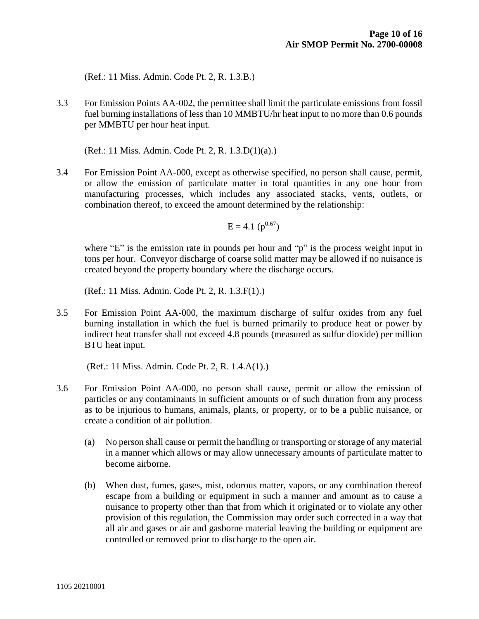(Ref.: 11 Miss. Admin. Code Pt. 2, R. 1.3.B.)

3.3 For Emission Points AA-002, the permittee shall limit the particulate emissions from fossil fuel burning installations of less than 10 MMBTU/hr heat input to no more than 0.6 pounds per MMBTU per hour heat input.

(Ref.: 11 Miss. Admin. Code Pt. 2, R. 1.3.D(1)(a).)

3.4 For Emission Point AA-000, except as otherwise specified, no person shall cause, permit, or allow the emission of particulate matter in total quantities in any one hour from manufacturing processes, which includes any associated stacks, vents, outlets, or combination thereof, to exceed the amount determined by the relationship:

 $E = 4.1$  ( $p^{0.67}$ )

where "E" is the emission rate in pounds per hour and "p" is the process weight input in tons per hour. Conveyor discharge of coarse solid matter may be allowed if no nuisance is created beyond the property boundary where the discharge occurs.

(Ref.: 11 Miss. Admin. Code Pt. 2, R. 1.3.F(1).)

3.5 For Emission Point AA-000, the maximum discharge of sulfur oxides from any fuel burning installation in which the fuel is burned primarily to produce heat or power by indirect heat transfer shall not exceed 4.8 pounds (measured as sulfur dioxide) per million BTU heat input.

- 3.6 For Emission Point AA-000, no person shall cause, permit or allow the emission of particles or any contaminants in sufficient amounts or of such duration from any process as to be injurious to humans, animals, plants, or property, or to be a public nuisance, or create a condition of air pollution.
	- (a) No person shall cause or permit the handling or transporting or storage of any material in a manner which allows or may allow unnecessary amounts of particulate matter to become airborne.
	- (b) When dust, fumes, gases, mist, odorous matter, vapors, or any combination thereof escape from a building or equipment in such a manner and amount as to cause a nuisance to property other than that from which it originated or to violate any other provision of this regulation, the Commission may order such corrected in a way that all air and gases or air and gasborne material leaving the building or equipment are controlled or removed prior to discharge to the open air.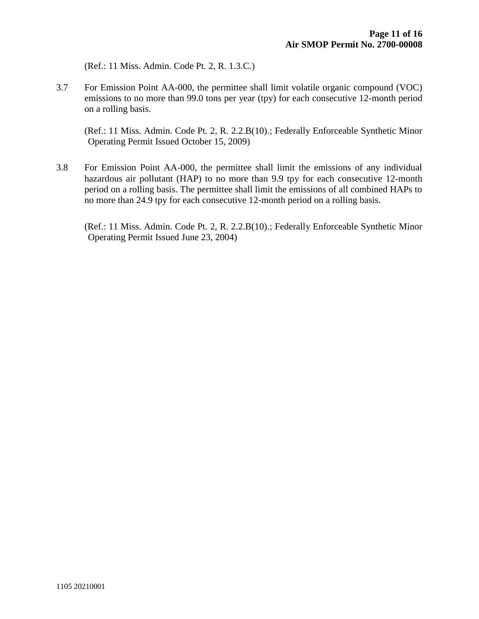(Ref.: 11 Miss. Admin. Code Pt. 2, R. 1.3.C.)

3.7 For Emission Point AA-000, the permittee shall limit volatile organic compound (VOC) emissions to no more than 99.0 tons per year (tpy) for each consecutive 12-month period on a rolling basis.

(Ref.: 11 Miss. Admin. Code Pt. 2, R. 2.2.B(10).; Federally Enforceable Synthetic Minor Operating Permit Issued October 15, 2009)

3.8 For Emission Point AA-000, the permittee shall limit the emissions of any individual hazardous air pollutant (HAP) to no more than 9.9 tpy for each consecutive 12-month period on a rolling basis. The permittee shall limit the emissions of all combined HAPs to no more than 24.9 tpy for each consecutive 12-month period on a rolling basis.

(Ref.: 11 Miss. Admin. Code Pt. 2, R. 2.2.B(10).; Federally Enforceable Synthetic Minor Operating Permit Issued June 23, 2004)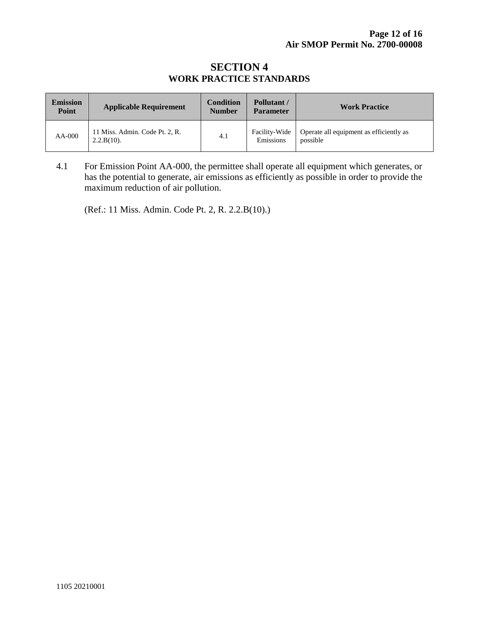#### **SECTION 4 WORK PRACTICE STANDARDS**

| <b>Emission</b><br><b>Point</b> | <b>Applicable Requirement</b>                   | <b>Condition</b><br><b>Number</b> | Pollutant /<br><b>Parameter</b> | <b>Work Practice</b>                                |
|---------------------------------|-------------------------------------------------|-----------------------------------|---------------------------------|-----------------------------------------------------|
| $AA-000$                        | 11 Miss. Admin. Code Pt. 2, R.<br>$2.2.B(10)$ . | 4.1                               | Facility-Wide<br>Emissions      | Operate all equipment as efficiently as<br>possible |

4.1 For Emission Point AA-000, the permittee shall operate all equipment which generates, or has the potential to generate, air emissions as efficiently as possible in order to provide the maximum reduction of air pollution.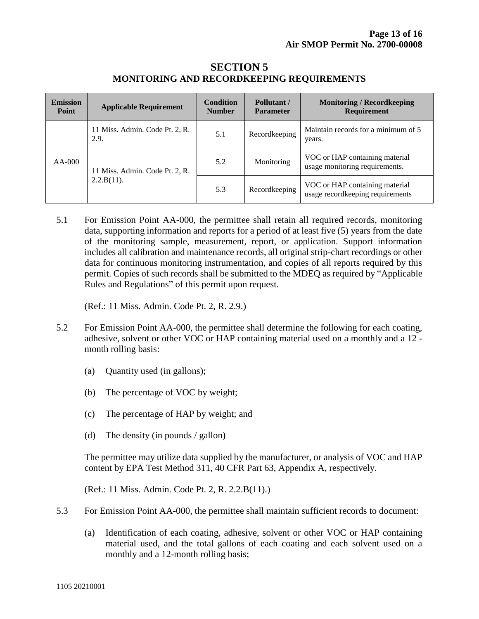| <b>Emission</b><br>Point | <b>Applicable Requirement</b>                | <b>Condition</b><br><b>Number</b> | Pollutant/<br><b>Parameter</b> | <b>Monitoring / Record keeping</b><br><b>Requirement</b>           |
|--------------------------|----------------------------------------------|-----------------------------------|--------------------------------|--------------------------------------------------------------------|
| AA-000                   | 11 Miss. Admin. Code Pt. 2, R.<br>2.9.       | 5.1                               | Recordkeeping                  | Maintain records for a minimum of 5<br>years.                      |
|                          | 11 Miss. Admin. Code Pt. 2, R.<br>2.2.B(11). | 5.2                               | Monitoring                     | VOC or HAP containing material<br>usage monitoring requirements.   |
|                          |                                              | 5.3                               | Recordkeeping                  | VOC or HAP containing material<br>usage recordkeeping requirements |

#### **SECTION 5 MONITORING AND RECORDKEEPING REQUIREMENTS**

5.1 For Emission Point AA-000, the permittee shall retain all required records, monitoring data, supporting information and reports for a period of at least five (5) years from the date of the monitoring sample, measurement, report, or application. Support information includes all calibration and maintenance records, all original strip-chart recordings or other data for continuous monitoring instrumentation, and copies of all reports required by this permit. Copies of such records shall be submitted to the MDEQ as required by "Applicable Rules and Regulations" of this permit upon request.

(Ref.: 11 Miss. Admin. Code Pt. 2, R. 2.9.)

- 5.2 For Emission Point AA-000, the permittee shall determine the following for each coating, adhesive, solvent or other VOC or HAP containing material used on a monthly and a 12 month rolling basis:
	- (a) Quantity used (in gallons);
	- (b) The percentage of VOC by weight;
	- (c) The percentage of HAP by weight; and
	- (d) The density (in pounds / gallon)

The permittee may utilize data supplied by the manufacturer, or analysis of VOC and HAP content by EPA Test Method 311, 40 CFR Part 63, Appendix A, respectively.

- 5.3 For Emission Point AA-000, the permittee shall maintain sufficient records to document:
	- (a) Identification of each coating, adhesive, solvent or other VOC or HAP containing material used, and the total gallons of each coating and each solvent used on a monthly and a 12-month rolling basis;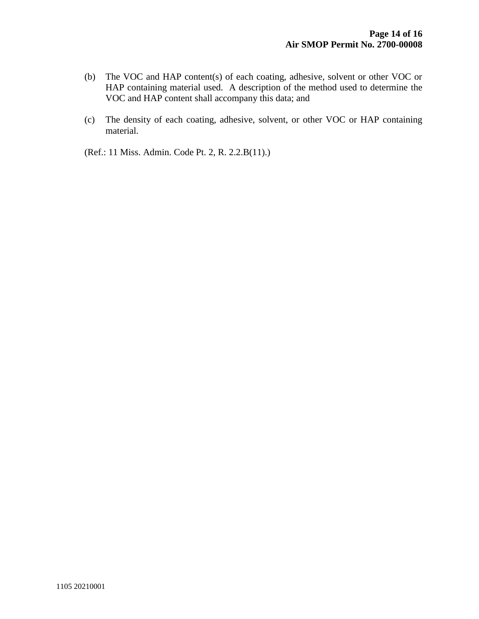- (b) The VOC and HAP content(s) of each coating, adhesive, solvent or other VOC or HAP containing material used. A description of the method used to determine the VOC and HAP content shall accompany this data; and
- (c) The density of each coating, adhesive, solvent, or other VOC or HAP containing material.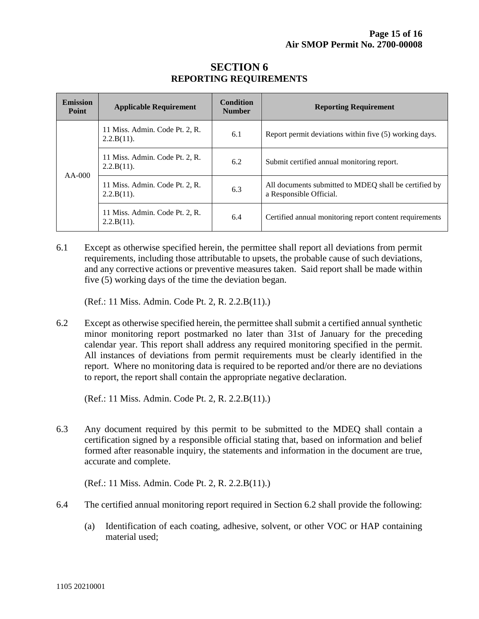| <b>Emission</b><br><b>Point</b> | <b>Applicable Requirement</b>                   | Condition<br><b>Number</b> | <b>Reporting Requirement</b>                                                     |
|---------------------------------|-------------------------------------------------|----------------------------|----------------------------------------------------------------------------------|
| $AA-000$                        | 11 Miss. Admin. Code Pt. 2, R.<br>$2.2.B(11)$ . | 6.1                        | Report permit deviations within five (5) working days.                           |
|                                 | 11 Miss. Admin. Code Pt. 2, R.<br>$2.2.B(11)$ . | 6.2                        | Submit certified annual monitoring report.                                       |
|                                 | 11 Miss. Admin. Code Pt. 2, R.<br>$2.2.B(11)$ . | 6.3                        | All documents submitted to MDEO shall be certified by<br>a Responsible Official. |
|                                 | 11 Miss. Admin. Code Pt. 2, R.<br>$2.2.B(11)$ . | 6.4                        | Certified annual monitoring report content requirements                          |

#### **SECTION 6 REPORTING REQUIREMENTS**

6.1 Except as otherwise specified herein, the permittee shall report all deviations from permit requirements, including those attributable to upsets, the probable cause of such deviations, and any corrective actions or preventive measures taken. Said report shall be made within five (5) working days of the time the deviation began.

(Ref.: 11 Miss. Admin. Code Pt. 2, R. 2.2.B(11).)

6.2 Except as otherwise specified herein, the permittee shall submit a certified annual synthetic minor monitoring report postmarked no later than 31st of January for the preceding calendar year. This report shall address any required monitoring specified in the permit. All instances of deviations from permit requirements must be clearly identified in the report. Where no monitoring data is required to be reported and/or there are no deviations to report, the report shall contain the appropriate negative declaration.

(Ref.: 11 Miss. Admin. Code Pt. 2, R. 2.2.B(11).)

6.3 Any document required by this permit to be submitted to the MDEQ shall contain a certification signed by a responsible official stating that, based on information and belief formed after reasonable inquiry, the statements and information in the document are true, accurate and complete.

- 6.4 The certified annual monitoring report required in Section 6.2 shall provide the following:
	- (a) Identification of each coating, adhesive, solvent, or other VOC or HAP containing material used;